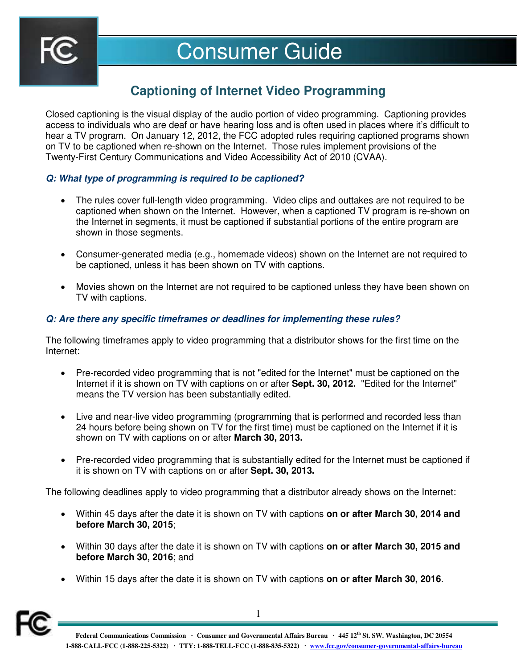

# Consumer Guide

## **Captioning of Internet Video Programming**

Closed captioning is the visual display of the audio portion of video programming. Captioning provides access to individuals who are deaf or have hearing loss and is often used in places where it's difficult to hear a TV program. On January 12, 2012, the FCC adopted rules requiring captioned programs shown on TV to be captioned when re-shown on the Internet. Those rules implement provisions of the Twenty-First Century Communications and Video Accessibility Act of 2010 (CVAA).

#### *Q: What type of programming is required to be captioned?*

- The rules cover full-length video programming. Video clips and outtakes are not required to be captioned when shown on the Internet. However, when a captioned TV program is re-shown on the Internet in segments, it must be captioned if substantial portions of the entire program are shown in those segments.
- Consumer-generated media (e.g., homemade videos) shown on the Internet are not required to be captioned, unless it has been shown on TV with captions.
- Movies shown on the Internet are not required to be captioned unless they have been shown on TV with captions.

### *Q: Are there any specific timeframes or deadlines for implementing these rules?*

The following timeframes apply to video programming that a distributor shows for the first time on the Internet:

- Pre-recorded video programming that is not "edited for the Internet" must be captioned on the Internet if it is shown on TV with captions on or after **Sept. 30, 2012.** "Edited for the Internet" means the TV version has been substantially edited.
- Live and near-live video programming (programming that is performed and recorded less than 24 hours before being shown on TV for the first time) must be captioned on the Internet if it is shown on TV with captions on or after **March 30, 2013.**
- Pre-recorded video programming that is substantially edited for the Internet must be captioned if it is shown on TV with captions on or after **Sept. 30, 2013.**

The following deadlines apply to video programming that a distributor already shows on the Internet:

- Within 45 days after the date it is shown on TV with captions **on or after March 30, 2014 and before March 30, 2015**;
- Within 30 days after the date it is shown on TV with captions **on or after March 30, 2015 and before March 30, 2016**; and
- Within 15 days after the date it is shown on TV with captions **on or after March 30, 2016**.